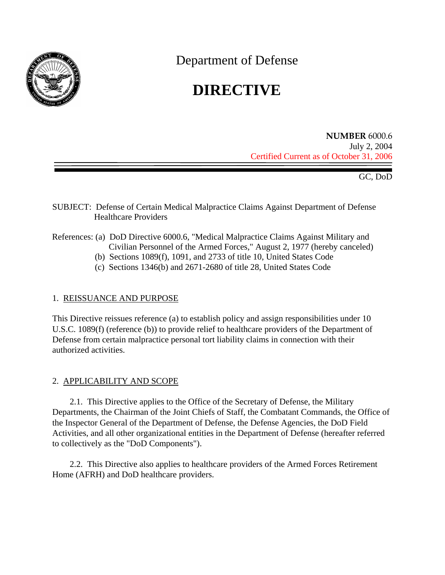

Department of Defense

# **DIRECTIVE**

**NUMBER** 6000.6 July 2, 2004 Certified Current as of October 31, 2006

GC, DoD

- SUBJECT: Defense of Certain Medical Malpractice Claims Against Department of Defense Healthcare Providers
- References: (a) DoD Directive 6000.6, "Medical Malpractice Claims Against Military and Civilian Personnel of the Armed Forces," August 2, 1977 (hereby canceled)
	- (b) Sections 1089(f), 1091, and 2733 of title 10, United States Code
	- (c) Sections 1346(b) and 2671-2680 of title 28, United States Code

## 1. REISSUANCE AND PURPOSE

This Directive reissues reference (a) to establish policy and assign responsibilities under 10 U.S.C. 1089(f) (reference (b)) to provide relief to healthcare providers of the Department of Defense from certain malpractice personal tort liability claims in connection with their authorized activities.

## 2. APPLICABILITY AND SCOPE

2.1. This Directive applies to the Office of the Secretary of Defense, the Military Departments, the Chairman of the Joint Chiefs of Staff, the Combatant Commands, the Office of the Inspector General of the Department of Defense, the Defense Agencies, the DoD Field Activities, and all other organizational entities in the Department of Defense (hereafter referred to collectively as the "DoD Components").

2.2. This Directive also applies to healthcare providers of the Armed Forces Retirement Home (AFRH) and DoD healthcare providers.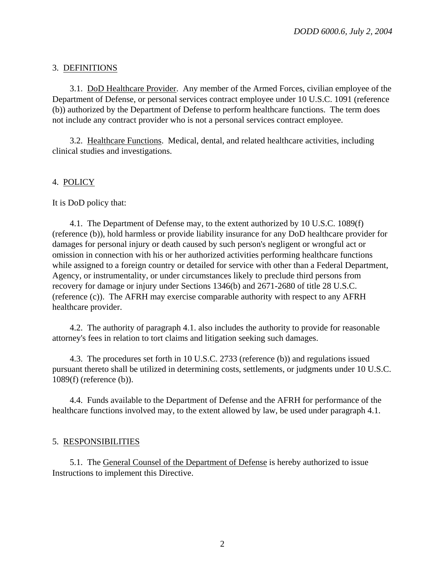# 3. DEFINITIONS

3.1. DoD Healthcare Provider. Any member of the Armed Forces, civilian employee of the Department of Defense, or personal services contract employee under 10 U.S.C. 1091 (reference (b)) authorized by the Department of Defense to perform healthcare functions. The term does not include any contract provider who is not a personal services contract employee.

3.2. Healthcare Functions. Medical, dental, and related healthcare activities, including clinical studies and investigations.

# 4. POLICY

It is DoD policy that:

4.1. The Department of Defense may, to the extent authorized by 10 U.S.C. 1089(f) (reference (b)), hold harmless or provide liability insurance for any DoD healthcare provider for damages for personal injury or death caused by such person's negligent or wrongful act or omission in connection with his or her authorized activities performing healthcare functions while assigned to a foreign country or detailed for service with other than a Federal Department, Agency, or instrumentality, or under circumstances likely to preclude third persons from recovery for damage or injury under Sections 1346(b) and 2671-2680 of title 28 U.S.C. (reference (c)). The AFRH may exercise comparable authority with respect to any AFRH healthcare provider.

4.2. The authority of paragraph 4.1. also includes the authority to provide for reasonable attorney's fees in relation to tort claims and litigation seeking such damages.

4.3. The procedures set forth in 10 U.S.C. 2733 (reference (b)) and regulations issued pursuant thereto shall be utilized in determining costs, settlements, or judgments under 10 U.S.C. 1089(f) (reference (b)).

4.4. Funds available to the Department of Defense and the AFRH for performance of the healthcare functions involved may, to the extent allowed by law, be used under paragraph 4.1.

## 5. RESPONSIBILITIES

5.1. The General Counsel of the Department of Defense is hereby authorized to issue Instructions to implement this Directive.